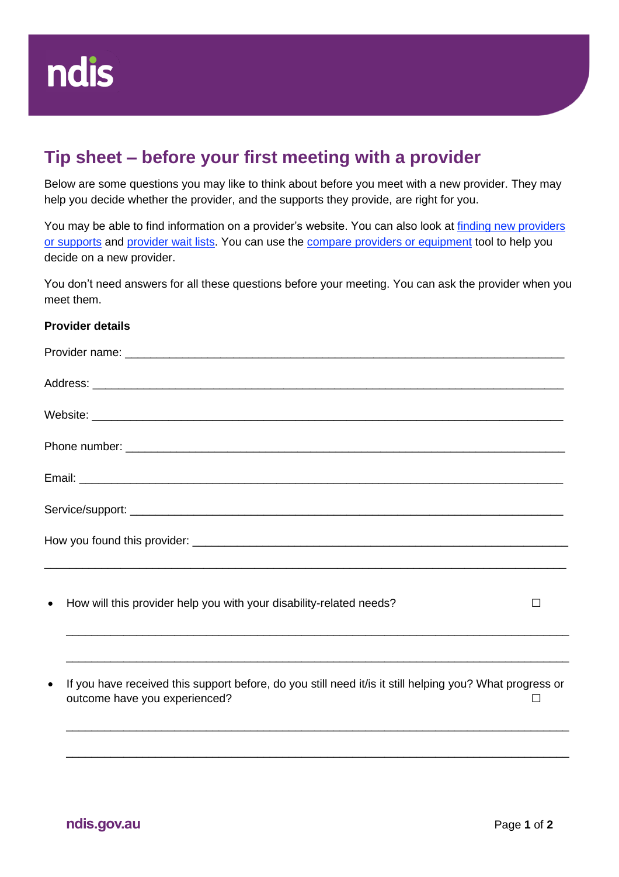## **Tip sheet – before your first meeting with a provider**

Below are some questions you may like to think about before you meet with a new provider. They may help you decide whether the provider, and the supports they provide, are right for you.

You may be able to find information on a provider's website. You can also look at finding new providers [or supports](https://aus01.safelinks.protection.outlook.com/?url=https%3A%2F%2Fwww.ndis.gov.au%2Fmedia%2F4432%2Fdownload&data=05%7C01%7CLinda.Ryan%40ndis.gov.au%7Cc8d652627a7541a2d88008da36dc862f%7Ccd778b65752d454a87cfb9990fe58993%7C0%7C0%7C637882618009536849%7CUnknown%7CTWFpbGZsb3d8eyJWIjoiMC4wLjAwMDAiLCJQIjoiV2luMzIiLCJBTiI6Ik1haWwiLCJXVCI6Mn0%3D%7C3000%7C%7C%7C&sdata=JYet%2F3qAltepigTnSa7z52mFmy%2BxMmFQFE%2BwND3Qmjg%3D&reserved=0) and [provider wait lists.](https://aus01.safelinks.protection.outlook.com/?url=https%3A%2F%2Fwww.ndis.gov.au%2Fmedia%2F4423%2Fdownload&data=05%7C01%7CLinda.Ryan%40ndis.gov.au%7Cc8d652627a7541a2d88008da36dc862f%7Ccd778b65752d454a87cfb9990fe58993%7C0%7C0%7C637882618009536849%7CUnknown%7CTWFpbGZsb3d8eyJWIjoiMC4wLjAwMDAiLCJQIjoiV2luMzIiLCJBTiI6Ik1haWwiLCJXVCI6Mn0%3D%7C3000%7C%7C%7C&sdata=wH2T7kmMjU0%2B1P%2FN%2FjkkDc%2FNt%2F3obmZyNjR%2FxfQ0sRw%3D&reserved=0) You can use the [compare providers or equipment](https://aus01.safelinks.protection.outlook.com/?url=https%3A%2F%2Fwww.ndis.gov.au%2Fmedia%2F4420%2Fdownload&data=05%7C01%7CLinda.Ryan%40ndis.gov.au%7Cc8d652627a7541a2d88008da36dc862f%7Ccd778b65752d454a87cfb9990fe58993%7C0%7C0%7C637882618009536849%7CUnknown%7CTWFpbGZsb3d8eyJWIjoiMC4wLjAwMDAiLCJQIjoiV2luMzIiLCJBTiI6Ik1haWwiLCJXVCI6Mn0%3D%7C3000%7C%7C%7C&sdata=nE0cbWL5pbR1YLPSM3N1A%2BC0vlUKtrHcMY69BBHZuZ8%3D&reserved=0) tool to help you decide on a new provider.

You don't need answers for all these questions before your meeting. You can ask the provider when you meet them.

## **Provider details**

| • How will this provider help you with your disability-related needs? |  |
|-----------------------------------------------------------------------|--|

• If you have received this support before, do you still need it/is it still helping you? What progress or outcome have you experienced? ☐

\_\_\_\_\_\_\_\_\_\_\_\_\_\_\_\_\_\_\_\_\_\_\_\_\_\_\_\_\_\_\_\_\_\_\_\_\_\_\_\_\_\_\_\_\_\_\_\_\_\_\_\_\_\_\_\_\_\_\_\_\_\_\_\_\_\_\_\_\_\_\_\_\_\_\_\_\_\_\_

\_\_\_\_\_\_\_\_\_\_\_\_\_\_\_\_\_\_\_\_\_\_\_\_\_\_\_\_\_\_\_\_\_\_\_\_\_\_\_\_\_\_\_\_\_\_\_\_\_\_\_\_\_\_\_\_\_\_\_\_\_\_\_\_\_\_\_\_\_\_\_\_\_\_\_\_\_\_\_

\_\_\_\_\_\_\_\_\_\_\_\_\_\_\_\_\_\_\_\_\_\_\_\_\_\_\_\_\_\_\_\_\_\_\_\_\_\_\_\_\_\_\_\_\_\_\_\_\_\_\_\_\_\_\_\_\_\_\_\_\_\_\_\_\_\_\_\_\_\_\_\_\_\_\_\_\_\_\_

\_\_\_\_\_\_\_\_\_\_\_\_\_\_\_\_\_\_\_\_\_\_\_\_\_\_\_\_\_\_\_\_\_\_\_\_\_\_\_\_\_\_\_\_\_\_\_\_\_\_\_\_\_\_\_\_\_\_\_\_\_\_\_\_\_\_\_\_\_\_\_\_\_\_\_\_\_\_\_